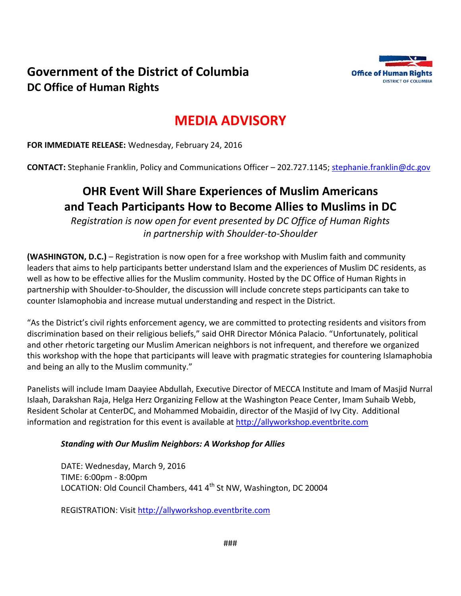



# **MEDIA ADVISORY**

**FOR IMMEDIATE RELEASE:** Wednesday, February 24, 2016

**CONTACT:** Stephanie Franklin, Policy and Communications Officer – 202.727.1145; [stephanie.franklin@dc.gov](mailto:stephanie.franklin@dc.gov)

# **OHR Event Will Share Experiences of Muslim Americans and Teach Participants How to Become Allies to Muslims in DC**

*Registration is now open for event presented by DC Office of Human Rights in partnership with Shoulder-to-Shoulder*

**(WASHINGTON, D.C.)** – Registration is now open for a free workshop with Muslim faith and community leaders that aims to help participants better understand Islam and the experiences of Muslim DC residents, as well as how to be effective allies for the Muslim community. Hosted by the DC Office of Human Rights in partnership with Shoulder-to-Shoulder, the discussion will include concrete steps participants can take to counter Islamophobia and increase mutual understanding and respect in the District.

"As the District's civil rights enforcement agency, we are committed to protecting residents and visitors from discrimination based on their religious beliefs," said OHR Director Mónica Palacio. "Unfortunately, political and other rhetoric targeting our Muslim American neighbors is not infrequent, and therefore we organized this workshop with the hope that participants will leave with pragmatic strategies for countering Islamaphobia and being an ally to the Muslim community."

Panelists will include Imam Daayiee Abdullah, Executive Director of MECCA Institute and Imam of Masjid Nurral Islaah, Darakshan Raja, Helga Herz Organizing Fellow at the Washington Peace Center, Imam Suhaib Webb, Resident Scholar at CenterDC, and Mohammed Mobaidin, director of the Masjid of Ivy City. Additional information and registration for this event is available at [http://allyworkshop.eventbrite.com](http://allyworkshop.eventbrite.com/)

#### *Standing with Our Muslim Neighbors: A Workshop for Allies*

DATE: Wednesday, March 9, 2016 TIME: 6:00pm - 8:00pm LOCATION: Old Council Chambers, 441 4<sup>th</sup> St NW, Washington, DC 20004

REGISTRATION: Visit [http://allyworkshop.eventbrite.com](http://allyworkshop.eventbrite.com/)